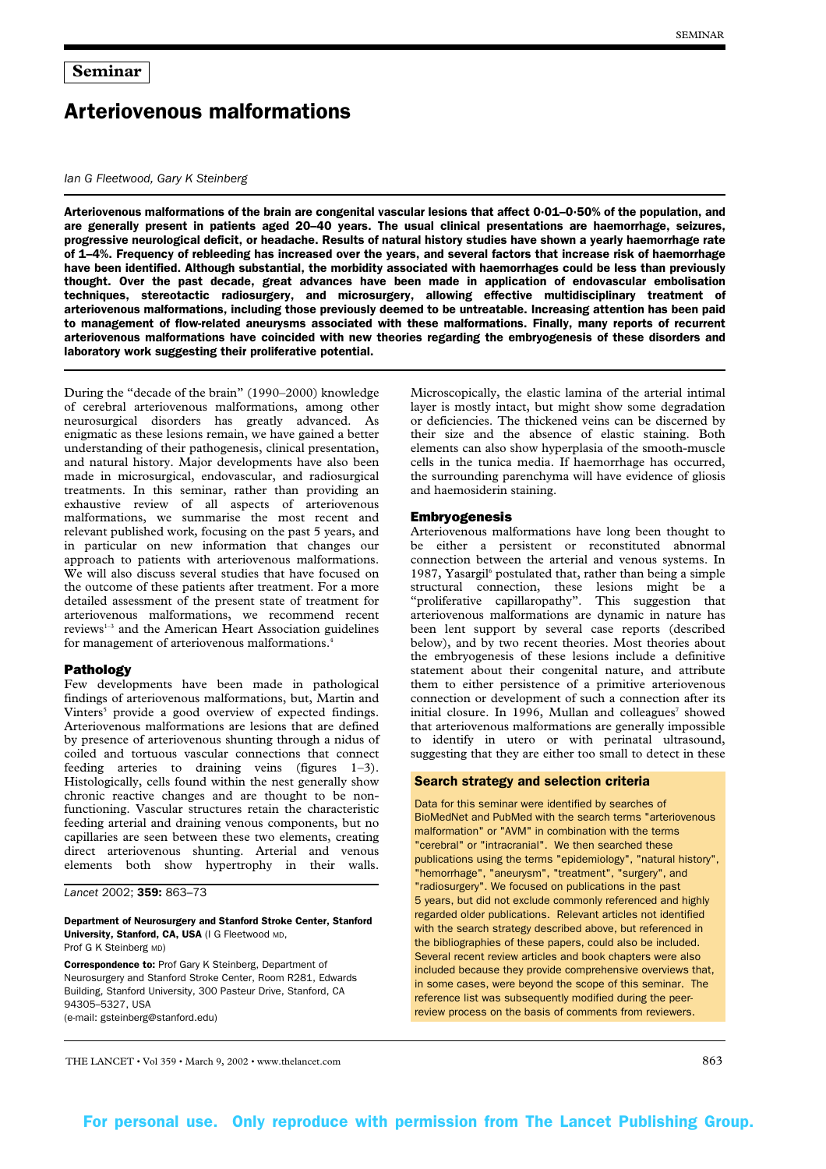## Arteriovenous malformations

### *Ian G Fleetwood, Gary K Steinberg*

Arteriovenous malformations of the brain are congenital vascular lesions that affect 0·01–0·50% of the population, and are generally present in patients aged 20–40 years. The usual clinical presentations are haemorrhage, seizures, progressive neurological deficit, or headache. Results of natural history studies have shown a yearly haemorrhage rate of 1–4%. Frequency of rebleeding has increased over the years, and several factors that increase risk of haemorrhage have been identified. Although substantial, the morbidity associated with haemorrhages could be less than previously thought. Over the past decade, great advances have been made in application of endovascular embolisation techniques, stereotactic radiosurgery, and microsurgery, allowing effective multidisciplinary treatment of arteriovenous malformations, including those previously deemed to be untreatable. Increasing attention has been paid to management of flow-related aneurysms associated with these malformations. Finally, many reports of recurrent arteriovenous malformations have coincided with new theories regarding the embryogenesis of these disorders and laboratory work suggesting their proliferative potential.

During the "decade of the brain" (1990–2000) knowledge of cerebral arteriovenous malformations, among other neurosurgical disorders has greatly advanced. As enigmatic as these lesions remain, we have gained a better understanding of their pathogenesis, clinical presentation, and natural history. Major developments have also been made in microsurgical, endovascular, and radiosurgical treatments. In this seminar, rather than providing an exhaustive review of all aspects of arteriovenous malformations, we summarise the most recent and relevant published work, focusing on the past 5 years, and in particular on new information that changes our approach to patients with arteriovenous malformations. We will also discuss several studies that have focused on the outcome of these patients after treatment. For a more detailed assessment of the present state of treatment for arteriovenous malformations, we recommend recent reviews<sup>1-3</sup> and the American Heart Association guidelines for management of arteriovenous malformations.4

### Pathology

Few developments have been made in pathological findings of arteriovenous malformations, but, Martin and Vinters<sup>5</sup> provide a good overview of expected findings. Arteriovenous malformations are lesions that are defined by presence of arteriovenous shunting through a nidus of coiled and tortuous vascular connections that connect feeding arteries to draining veins (figures 1–3). Histologically, cells found within the nest generally show chronic reactive changes and are thought to be nonfunctioning. Vascular structures retain the characteristic feeding arterial and draining venous components, but no capillaries are seen between these two elements, creating direct arteriovenous shunting. Arterial and venous elements both show hypertrophy in their walls.

*Lancet* 2002; 359: 863–73

### Department of Neurosurgery and Stanford Stroke Center, Stanford University, Stanford, CA, USA (I G Fleetwood MD, Prof G K Steinberg MD)

Correspondence to: Prof Gary K Steinberg, Department of Neurosurgery and Stanford Stroke Center, Room R281, Edwards Building, Stanford University, 300 Pasteur Drive, Stanford, CA 94305–5327, USA (e-mail: gsteinberg@stanford.edu)

Microscopically, the elastic lamina of the arterial intimal layer is mostly intact, but might show some degradation or deficiencies. The thickened veins can be discerned by their size and the absence of elastic staining. Both elements can also show hyperplasia of the smooth-muscle cells in the tunica media. If haemorrhage has occurred, the surrounding parenchyma will have evidence of gliosis and haemosiderin staining.

### Embryogenesis

Arteriovenous malformations have long been thought to be either a persistent or reconstituted abnormal connection between the arterial and venous systems. In 1987, Yasargil<sup>6</sup> postulated that, rather than being a simple structural connection, these lesions might be a "proliferative capillaropathy". This suggestion that arteriovenous malformations are dynamic in nature has been lent support by several case reports (described below), and by two recent theories. Most theories about the embryogenesis of these lesions include a definitive statement about their congenital nature, and attribute them to either persistence of a primitive arteriovenous connection or development of such a connection after its initial closure. In 1996, Mullan and colleagues<sup>7</sup> showed that arteriovenous malformations are generally impossible to identify in utero or with perinatal ultrasound, suggesting that they are either too small to detect in these

### Search strategy and selection criteria

Data for this seminar were identified by searches of BioMedNet and PubMed with the search terms "arteriovenous malformation" or "AVM" in combination with the terms "cerebral" or "intracranial". We then searched these publications using the terms "epidemiology", "natural history", "hemorrhage", "aneurysm", "treatment", "surgery", and "radiosurgery". We focused on publications in the past 5 years, but did not exclude commonly referenced and highly regarded older publications. Relevant articles not identified with the search strategy described above, but referenced in the bibliographies of these papers, could also be included. Several recent review articles and book chapters were also included because they provide comprehensive overviews that, in some cases, were beyond the scope of this seminar. The reference list was subsequently modified during the peerreview process on the basis of comments from reviewers.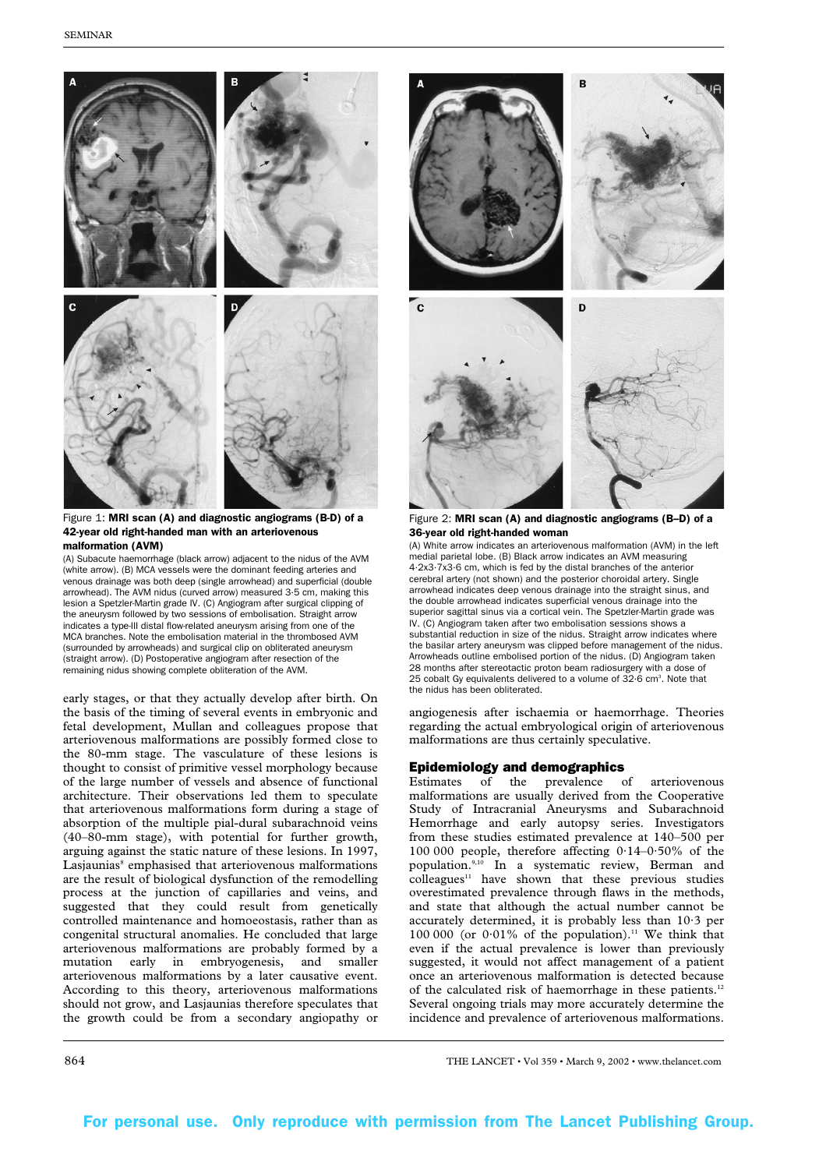

Figure 1: MRI scan (A) and diagnostic angiograms (B-D) of a 42-year old right-handed man with an arteriovenous malformation (AVM)

(A) Subacute haemorrhage (black arrow) adjacent to the nidus of the AVM (white arrow). (B) MCA vessels were the dominant feeding arteries and venous drainage was both deep (single arrowhead) and superficial (double arrowhead). The AVM nidus (curved arrow) measured 3·5 cm, making this lesion a Spetzler-Martin grade IV. (C) Angiogram after surgical clipping of the aneurysm followed by two sessions of embolisation. Straight arrow indicates a type-III distal flow-related aneurysm arising from one of the MCA branches. Note the embolisation material in the thrombosed AVM (surrounded by arrowheads) and surgical clip on obliterated aneurysm (straight arrow). (D) Postoperative angiogram after resection of the remaining nidus showing complete obliteration of the AVM.

early stages, or that they actually develop after birth. On the basis of the timing of several events in embryonic and fetal development, Mullan and colleagues propose that arteriovenous malformations are possibly formed close to the 80-mm stage. The vasculature of these lesions is thought to consist of primitive vessel morphology because of the large number of vessels and absence of functional architecture. Their observations led them to speculate that arteriovenous malformations form during a stage of absorption of the multiple pial-dural subarachnoid veins (40–80-mm stage), with potential for further growth, arguing against the static nature of these lesions. In 1997, Lasjaunias<sup>8</sup> emphasised that arteriovenous malformations are the result of biological dysfunction of the remodelling process at the junction of capillaries and veins, and suggested that they could result from genetically controlled maintenance and homoeostasis, rather than as congenital structural anomalies. He concluded that large arteriovenous malformations are probably formed by a mutation early in embryogenesis, and smaller arteriovenous malformations by a later causative event. According to this theory, arteriovenous malformations should not grow, and Lasjaunias therefore speculates that the growth could be from a secondary angiopathy or



Figure 2: MRI scan (A) and diagnostic angiograms (B-D) of a 36-year old right-handed woman

(A) White arrow indicates an arteriovenous malformation (AVM) in the left medial parietal lobe. (B) Black arrow indicates an AVM measuring 4·2x3·7x3·6 cm, which is fed by the distal branches of the anterior cerebral artery (not shown) and the posterior choroidal artery. Single arrowhead indicates deep venous drainage into the straight sinus, and the double arrowhead indicates superficial venous drainage into the superior sagittal sinus via a cortical vein. The Spetzler-Martin grade was IV. (C) Angiogram taken after two embolisation sessions shows a substantial reduction in size of the nidus. Straight arrow indicates where the basilar artery aneurysm was clipped before management of the nidus. Arrowheads outline embolised portion of the nidus. (D) Angiogram taken 28 months after stereotactic proton beam radiosurgery with a dose of 25 cobalt Gy equivalents delivered to a volume of  $32.6$  cm<sup>3</sup>. Note that the nidus has been obliterated.

angiogenesis after ischaemia or haemorrhage. Theories regarding the actual embryological origin of arteriovenous malformations are thus certainly speculative.

### Epidemiology and demographics

Estimates of the prevalence of arteriovenous malformations are usually derived from the Cooperative Study of Intracranial Aneurysms and Subarachnoid Hemorrhage and early autopsy series. Investigators from these studies estimated prevalence at 140–500 per 100 000 people, therefore affecting 0·14–0·50% of the population.9,10 In a systematic review, Berman and  $\text{colle}$ agues<sup>11</sup> have shown that these previous studies overestimated prevalence through flaws in the methods, and state that although the actual number cannot be accurately determined, it is probably less than 10·3 per 100 000 (or  $0.01\%$  of the population).<sup>11</sup> We think that even if the actual prevalence is lower than previously suggested, it would not affect management of a patient once an arteriovenous malformation is detected because of the calculated risk of haemorrhage in these patients.12 Several ongoing trials may more accurately determine the incidence and prevalence of arteriovenous malformations.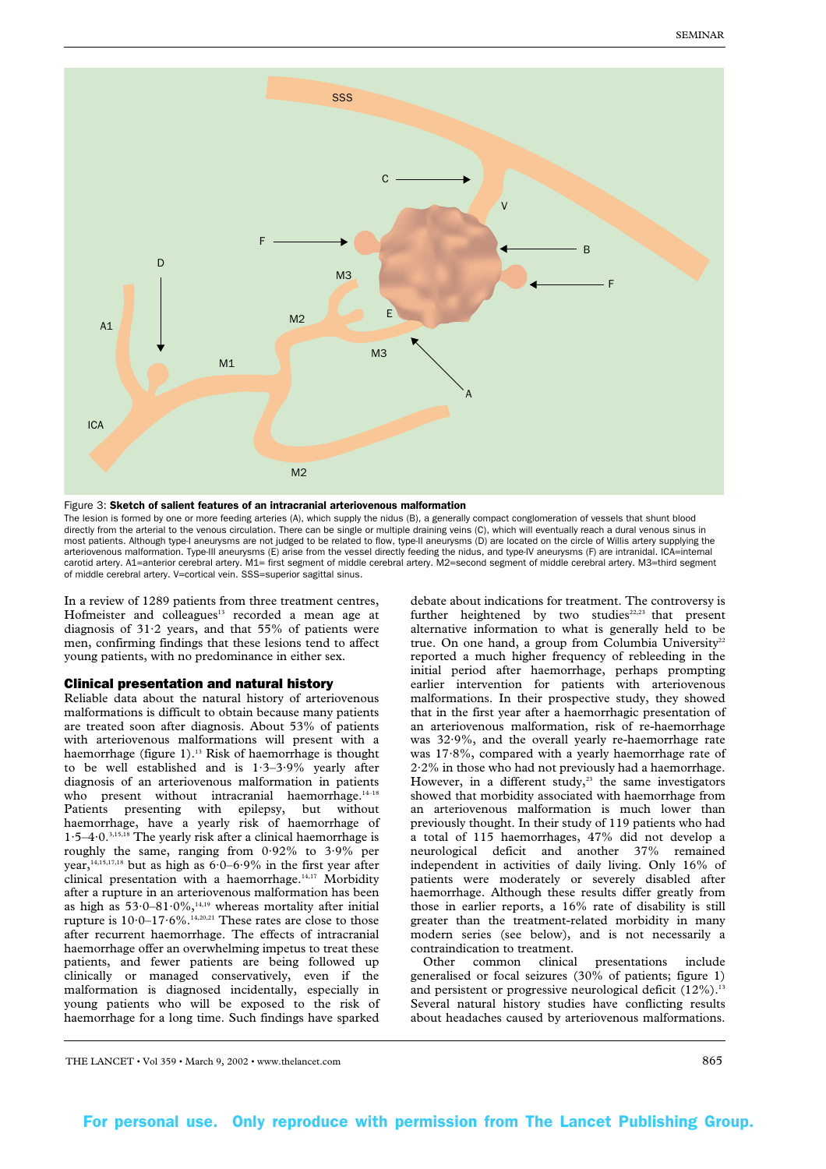

Figure 3: Sketch of salient features of an intracranial arteriovenous malformation

The lesion is formed by one or more feeding arteries (A), which supply the nidus (B), a generally compact conglomeration of vessels that shunt blood directly from the arterial to the venous circulation. There can be single or multiple draining veins (C), which will eventually reach a dural venous sinus in most patients. Although type-I aneurysms are not judged to be related to flow, type-II aneurysms (D) are located on the circle of Willis artery supplying the arteriovenous malformation. Type-III aneurysms (E) arise from the vessel directly feeding the nidus, and type-IV aneurysms (F) are intranidal. ICA=internal carotid artery. A1=anterior cerebral artery. M1= first segment of middle cerebral artery. M2=second segment of middle cerebral artery. M3=third segment of middle cerebral artery. V=cortical vein. SSS=superior sagittal sinus.

In a review of 1289 patients from three treatment centres, Hofmeister and colleagues<sup>13</sup> recorded a mean age at diagnosis of 31·2 years, and that 55% of patients were men, confirming findings that these lesions tend to affect young patients, with no predominance in either sex.

### Clinical presentation and natural history

Reliable data about the natural history of arteriovenous malformations is difficult to obtain because many patients are treated soon after diagnosis. About 53% of patients with arteriovenous malformations will present with a haemorrhage (figure 1).<sup>13</sup> Risk of haemorrhage is thought to be well established and is 1·3–3·9% yearly after diagnosis of an arteriovenous malformation in patients who present without intracranial haemorrhage.<sup>14-18</sup> Patients presenting with epilepsy, but without haemorrhage, have a yearly risk of haemorrhage of  $1.5-4.0$ .<sup>3,15,18</sup> The yearly risk after a clinical haemorrhage is roughly the same, ranging from  $0.92\%$  to  $3.9\%$  per year,<sup>14,15,17,18</sup> but as high as  $6.0-6.9\%$  in the first year after clinical presentation with a haemorrhage.<sup>14,17</sup> Morbidity after a rupture in an arteriovenous malformation has been as high as  $53.0-81.0\%$ ,<sup>14,19</sup> whereas mortality after initial rupture is  $10.0 - 17.6\%$ .<sup>14,20,21</sup> These rates are close to those after recurrent haemorrhage. The effects of intracranial haemorrhage offer an overwhelming impetus to treat these patients, and fewer patients are being followed up clinically or managed conservatively, even if the malformation is diagnosed incidentally, especially in young patients who will be exposed to the risk of haemorrhage for a long time. Such findings have sparked

debate about indications for treatment. The controversy is further heightened by two studies $22,23$  that present alternative information to what is generally held to be true. On one hand, a group from Columbia University<sup>22</sup> reported a much higher frequency of rebleeding in the initial period after haemorrhage, perhaps prompting earlier intervention for patients with arteriovenous malformations. In their prospective study, they showed that in the first year after a haemorrhagic presentation of an arteriovenous malformation, risk of re-haemorrhage was 32·9%, and the overall yearly re-haemorrhage rate was 17·8%, compared with a yearly haemorrhage rate of 2·2% in those who had not previously had a haemorrhage. However, in a different study, $23$  the same investigators showed that morbidity associated with haemorrhage from an arteriovenous malformation is much lower than previously thought. In their study of 119 patients who had a total of 115 haemorrhages, 47% did not develop a neurological deficit and another 37% remained independent in activities of daily living. Only 16% of patients were moderately or severely disabled after haemorrhage. Although these results differ greatly from those in earlier reports, a 16% rate of disability is still greater than the treatment-related morbidity in many modern series (see below), and is not necessarily a contraindication to treatment.

Other common clinical presentations include generalised or focal seizures (30% of patients; figure 1) and persistent or progressive neurological deficit  $(12\%)$ .<sup>13</sup> Several natural history studies have conflicting results about headaches caused by arteriovenous malformations.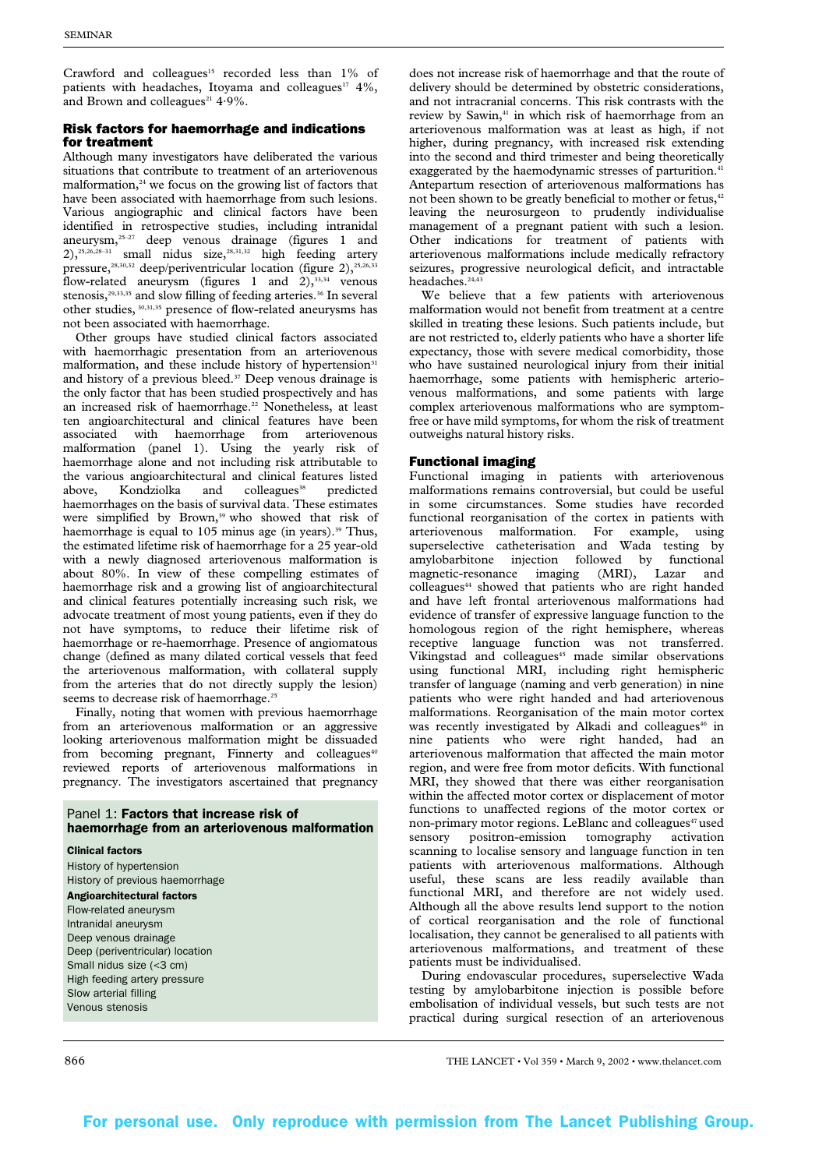Crawford and colleagues<sup>15</sup> recorded less than  $1\%$  of patients with headaches, Itoyama and colleagues<sup>17</sup> 4%, and Brown and colleagues<sup>21</sup> 4:9%.

### Risk factors for haemorrhage and indications for treatment

Although many investigators have deliberated the various situations that contribute to treatment of an arteriovenous malformation, $24$  we focus on the growing list of factors that have been associated with haemorrhage from such lesions. Various angiographic and clinical factors have been identified in retrospective studies, including intranidal aneurysm, $25-27$  deep venous drainage (figures 1 and  $(2),^{25,26,28-31}$  small nidus size,<sup>28,31,32</sup> high feeding artery pressure,<sup>28,30,32</sup> deep/periventricular location (figure 2),<sup>25,26,33</sup> flow-related aneurysm (figures 1 and  $2$ ),  $33,34$  venous stenosis,<sup>29,33,35</sup> and slow filling of feeding arteries.<sup>36</sup> In several other studies, 30,31,35 presence of flow-related aneurysms has not been associated with haemorrhage.

Other groups have studied clinical factors associated with haemorrhagic presentation from an arteriovenous malformation, and these include history of hypertension<sup>31</sup> and history of a previous bleed.<sup>37</sup> Deep venous drainage is the only factor that has been studied prospectively and has an increased risk of haemorrhage.<sup>22</sup> Nonetheless, at least ten angioarchitectural and clinical features have been associated with haemorrhage from arteriovenous malformation (panel 1). Using the yearly risk of haemorrhage alone and not including risk attributable to the various angioarchitectural and clinical features listed above, Kondziolka and colleagues<sup>38</sup> predicted haemorrhages on the basis of survival data. These estimates were simplified by Brown,<sup>39</sup> who showed that risk of haemorrhage is equal to 105 minus age (in years).<sup>39</sup> Thus, the estimated lifetime risk of haemorrhage for a 25 year-old with a newly diagnosed arteriovenous malformation is about 80%. In view of these compelling estimates of haemorrhage risk and a growing list of angioarchitectural and clinical features potentially increasing such risk, we advocate treatment of most young patients, even if they do not have symptoms, to reduce their lifetime risk of haemorrhage or re-haemorrhage. Presence of angiomatous change (defined as many dilated cortical vessels that feed the arteriovenous malformation, with collateral supply from the arteries that do not directly supply the lesion) seems to decrease risk of haemorrhage.<sup>25</sup>

Finally, noting that women with previous haemorrhage from an arteriovenous malformation or an aggressive looking arteriovenous malformation might be dissuaded from becoming pregnant, Finnerty and colleagues<sup>40</sup> reviewed reports of arteriovenous malformations in pregnancy. The investigators ascertained that pregnancy

### Panel 1: Factors that increase risk of haemorrhage from an arteriovenous malformation

### Clinical factors

History of hypertension History of previous haemorrhage

Angioarchitectural factors Flow-related aneurysm Intranidal aneurysm Deep venous drainage Deep (periventricular) location Small nidus size (<3 cm) High feeding artery pressure Slow arterial filling Venous stenosis

does not increase risk of haemorrhage and that the route of delivery should be determined by obstetric considerations, and not intracranial concerns. This risk contrasts with the review by Sawin,<sup>41</sup> in which risk of haemorrhage from an arteriovenous malformation was at least as high, if not higher, during pregnancy, with increased risk extending into the second and third trimester and being theoretically exaggerated by the haemodynamic stresses of parturition.<sup>41</sup> Antepartum resection of arteriovenous malformations has not been shown to be greatly beneficial to mother or fetus,<sup>42</sup> leaving the neurosurgeon to prudently individualise management of a pregnant patient with such a lesion. Other indications for treatment of patients with arteriovenous malformations include medically refractory seizures, progressive neurological deficit, and intractable headaches.24,43

We believe that a few patients with arteriovenous malformation would not benefit from treatment at a centre skilled in treating these lesions. Such patients include, but are not restricted to, elderly patients who have a shorter life expectancy, those with severe medical comorbidity, those who have sustained neurological injury from their initial haemorrhage, some patients with hemispheric arteriovenous malformations, and some patients with large complex arteriovenous malformations who are symptomfree or have mild symptoms, for whom the risk of treatment outweighs natural history risks.

### Functional imaging

Functional imaging in patients with arteriovenous malformations remains controversial, but could be useful in some circumstances. Some studies have recorded functional reorganisation of the cortex in patients with arteriovenous malformation. For example, using superselective catheterisation and Wada testing by amylobarbitone injection followed by functional magnetic-resonance imaging (MRI), Lazar and colleagues<sup>44</sup> showed that patients who are right handed and have left frontal arteriovenous malformations had evidence of transfer of expressive language function to the homologous region of the right hemisphere, whereas receptive language function was not transferred. Vikingstad and colleagues<sup>45</sup> made similar observations using functional MRI, including right hemispheric transfer of language (naming and verb generation) in nine patients who were right handed and had arteriovenous malformations. Reorganisation of the main motor cortex was recently investigated by Alkadi and colleagues<sup>46</sup> in nine patients who were right handed, had an arteriovenous malformation that affected the main motor region, and were free from motor deficits. With functional MRI, they showed that there was either reorganisation within the affected motor cortex or displacement of motor functions to unaffected regions of the motor cortex or non-primary motor regions. LeBlanc and colleagues<sup>47</sup>used sensory positron-emission tomography activation scanning to localise sensory and language function in ten patients with arteriovenous malformations. Although useful, these scans are less readily available than functional MRI, and therefore are not widely used. Although all the above results lend support to the notion of cortical reorganisation and the role of functional localisation, they cannot be generalised to all patients with arteriovenous malformations, and treatment of these patients must be individualised.

During endovascular procedures, superselective Wada testing by amylobarbitone injection is possible before embolisation of individual vessels, but such tests are not practical during surgical resection of an arteriovenous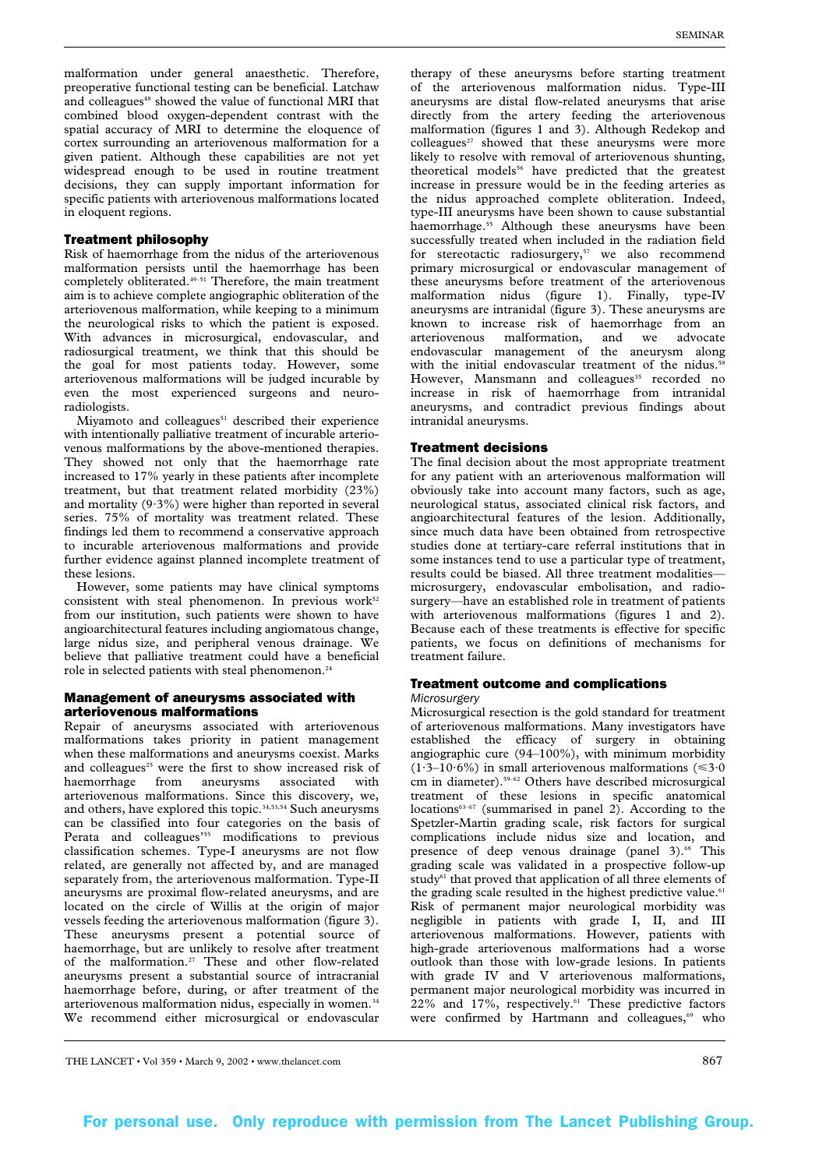malformation under general anaesthetic. Therefore, preoperative functional testing can be beneficial. Latchaw and colleagues<sup>48</sup> showed the value of functional MRI that combined blood oxygen-dependent contrast with the spatial accuracy of MRI to determine the eloquence of cortex surrounding an arteriovenous malformation for a given patient. Although these capabilities are not yet widespread enough to be used in routine treatment decisions, they can supply important information for specific patients with arteriovenous malformations located in eloquent regions.

### Treatment philosophy

Risk of haemorrhage from the nidus of the arteriovenous malformation persists until the haemorrhage has been completely obliterated.49–51 Therefore, the main treatment aim is to achieve complete angiographic obliteration of the arteriovenous malformation, while keeping to a minimum the neurological risks to which the patient is exposed. With advances in microsurgical, endovascular, and radiosurgical treatment, we think that this should be the goal for most patients today. However, some arteriovenous malformations will be judged incurable by even the most experienced surgeons and neuroradiologists.

Miyamoto and colleagues $51$  described their experience with intentionally palliative treatment of incurable arteriovenous malformations by the above-mentioned therapies. They showed not only that the haemorrhage rate increased to 17% yearly in these patients after incomplete treatment, but that treatment related morbidity (23%) and mortality  $(9.3\%)$  were higher than reported in several series. 75% of mortality was treatment related. These findings led them to recommend a conservative approach to incurable arteriovenous malformations and provide further evidence against planned incomplete treatment of these lesions.

However, some patients may have clinical symptoms consistent with steal phenomenon. In previous work<sup>52</sup> from our institution, such patients were shown to have angioarchitectural features including angiomatous change, large nidus size, and peripheral venous drainage. We believe that palliative treatment could have a beneficial role in selected patients with steal phenomenon.24

### Management of aneurysms associated with arteriovenous malformations

Repair of aneurysms associated with arteriovenous malformations takes priority in patient management when these malformations and aneurysms coexist. Marks and colleagues<sup>25</sup> were the first to show increased risk of haemorrhage from aneurysms associated with arteriovenous malformations. Since this discovery, we, and others, have explored this topic.<sup>34,53,54</sup> Such aneurysms can be classified into four categories on the basis of Perata and colleagues'<sup>55</sup> modifications to previous classification schemes. Type-I aneurysms are not flow related, are generally not affected by, and are managed separately from, the arteriovenous malformation. Type-II aneurysms are proximal flow-related aneurysms, and are located on the circle of Willis at the origin of major vessels feeding the arteriovenous malformation (figure 3). These aneurysms present a potential source of haemorrhage, but are unlikely to resolve after treatment of the malformation.<sup>27</sup> These and other flow-related aneurysms present a substantial source of intracranial haemorrhage before, during, or after treatment of the arteriovenous malformation nidus, especially in women.<sup>34</sup> We recommend either microsurgical or endovascular therapy of these aneurysms before starting treatment of the arteriovenous malformation nidus. Type-III aneurysms are distal flow-related aneurysms that arise directly from the artery feeding the arteriovenous malformation (figures 1 and 3). Although Redekop and  $colleagues<sup>27</sup>$  showed that these aneurysms were more likely to resolve with removal of arteriovenous shunting, theoretical models<sup>56</sup> have predicted that the greatest increase in pressure would be in the feeding arteries as the nidus approached complete obliteration. Indeed, type-III aneurysms have been shown to cause substantial haemorrhage.<sup>55</sup> Although these aneurysms have been successfully treated when included in the radiation field for stereotactic radiosurgery, $57$  we also recommend primary microsurgical or endovascular management of these aneurysms before treatment of the arteriovenous malformation nidus (figure 1). Finally, type-IV aneurysms are intranidal (figure 3). These aneurysms are known to increase risk of haemorrhage from an arteriovenous malformation, and we advocate endovascular management of the aneurysm along with the initial endovascular treatment of the nidus.<sup>58</sup> However, Mansmann and colleagues<sup>35</sup> recorded no increase in risk of haemorrhage from intranidal aneurysms, and contradict previous findings about intranidal aneurysms.

### Treatment decisions

The final decision about the most appropriate treatment for any patient with an arteriovenous malformation will obviously take into account many factors, such as age, neurological status, associated clinical risk factors, and angioarchitectural features of the lesion. Additionally, since much data have been obtained from retrospective studies done at tertiary-care referral institutions that in some instances tend to use a particular type of treatment, results could be biased. All three treatment modalities microsurgery, endovascular embolisation, and radiosurgery—have an established role in treatment of patients with arteriovenous malformations (figures 1 and 2). Because each of these treatments is effective for specific patients, we focus on definitions of mechanisms for treatment failure.

### Treatment outcome and complications

### *Microsurgery*

Microsurgical resection is the gold standard for treatment of arteriovenous malformations. Many investigators have established the efficacy of surgery in obtaining angiographic cure  $(94-100\%)$ , with minimum morbidity  $(1.3-10.6\%)$  in small arteriovenous malformations ( $\leq 3.0$ ) cm in diameter).59–62 Others have described microsurgical treatment of these lesions in specific anatomical locations<sup>63-67</sup> (summarised in panel 2). According to the Spetzler-Martin grading scale, risk factors for surgical complications include nidus size and location, and presence of deep venous drainage (panel 3).<sup>68</sup> This grading scale was validated in a prospective follow-up study<sup>61</sup> that proved that application of all three elements of the grading scale resulted in the highest predictive value.<sup>61</sup> Risk of permanent major neurological morbidity was negligible in patients with grade I, II, and III arteriovenous malformations. However, patients with high-grade arteriovenous malformations had a worse outlook than those with low-grade lesions. In patients with grade IV and V arteriovenous malformations, permanent major neurological morbidity was incurred in 22% and 17%, respectively.<sup>61</sup> These predictive factors were confirmed by Hartmann and colleagues,<sup>69</sup> who

THE LANCET • Vol 359 • March 9, 2002 • www.thelancet.com 867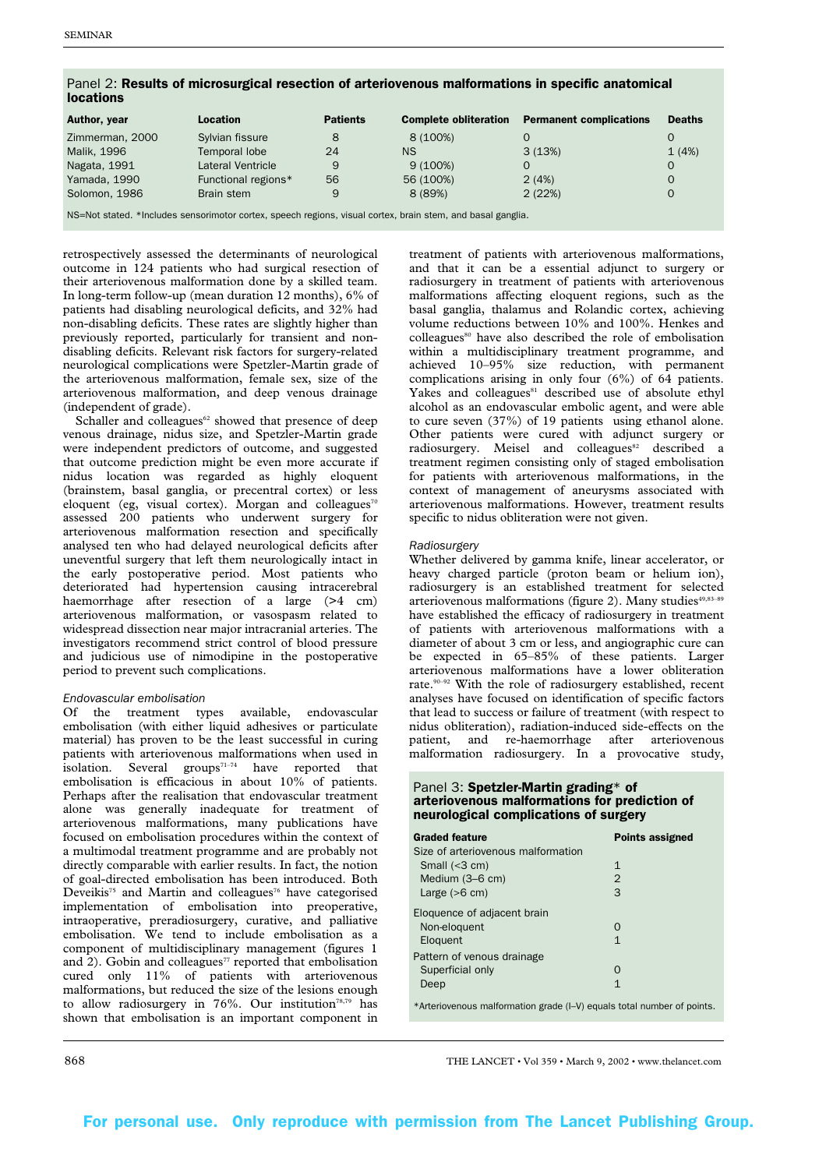| ו פווטו ב. <b>הסטאונט טו ווווטוטטאוקוטמו וטטטטנוטו</b> טו מונטווטזטווטמט ווומווטוווומנוטווט ווו ט <b>טטטוויט מוומנטווווטמ</b><br><b>locations</b> |                     |                 |                              |                                |               |  |  |
|---------------------------------------------------------------------------------------------------------------------------------------------------|---------------------|-----------------|------------------------------|--------------------------------|---------------|--|--|
| Author, year                                                                                                                                      | <b>Location</b>     | <b>Patients</b> | <b>Complete obliteration</b> | <b>Permanent complications</b> | <b>Deaths</b> |  |  |
| Zimmerman, 2000                                                                                                                                   | Sylvian fissure     | 8               | 8 (100%)                     |                                | O             |  |  |
| Malik, 1996                                                                                                                                       | Temporal lobe       | 24              | <b>NS</b>                    | 3(13%)                         | 1(4%)         |  |  |
| Nagata, 1991                                                                                                                                      | Lateral Ventricle   | 9               | $9(100\%)$                   | Ο                              | $\Omega$      |  |  |
| Yamada, 1990                                                                                                                                      | Functional regions* | 56              | 56 (100%)                    | 2(4%)                          | $\Omega$      |  |  |
| Solomon, 1986                                                                                                                                     | Brain stem          |                 | 8 (89%)                      | 2(22%)                         | 0             |  |  |

# Panel 2: Results of microsurgical resection of arteriovenous malformations in specific anatomical

NS=Not stated. \*Includes sensorimotor cortex, speech regions, visual cortex, brain stem, and basal ganglia.

retrospectively assessed the determinants of neurological outcome in 124 patients who had surgical resection of their arteriovenous malformation done by a skilled team. In long-term follow-up (mean duration 12 months), 6% of patients had disabling neurological deficits, and 32% had non-disabling deficits. These rates are slightly higher than previously reported, particularly for transient and nondisabling deficits. Relevant risk factors for surgery-related neurological complications were Spetzler-Martin grade of the arteriovenous malformation, female sex, size of the arteriovenous malformation, and deep venous drainage (independent of grade).

Schaller and colleagues<sup>62</sup> showed that presence of deep venous drainage, nidus size, and Spetzler-Martin grade were independent predictors of outcome, and suggested that outcome prediction might be even more accurate if nidus location was regarded as highly eloquent (brainstem, basal ganglia, or precentral cortex) or less eloquent (eg, visual cortex). Morgan and colleagues<sup>70</sup> assessed 200 patients who underwent surgery for arteriovenous malformation resection and specifically analysed ten who had delayed neurological deficits after uneventful surgery that left them neurologically intact in the early postoperative period. Most patients who deteriorated had hypertension causing intracerebral haemorrhage after resection of a large (>4 cm) arteriovenous malformation, or vasospasm related to widespread dissection near major intracranial arteries. The investigators recommend strict control of blood pressure and judicious use of nimodipine in the postoperative period to prevent such complications.

### *Endovascular embolisation*

Of the treatment types available, endovascular embolisation (with either liquid adhesives or particulate material) has proven to be the least successful in curing patients with arteriovenous malformations when used in isolation. Several groups $71-74$  have reported that embolisation is efficacious in about 10% of patients. Perhaps after the realisation that endovascular treatment alone was generally inadequate for treatment of arteriovenous malformations, many publications have focused on embolisation procedures within the context of a multimodal treatment programme and are probably not directly comparable with earlier results. In fact, the notion of goal-directed embolisation has been introduced. Both Deveikis<sup>75</sup> and Martin and colleagues<sup>76</sup> have categorised implementation of embolisation into preoperative, intraoperative, preradiosurgery, curative, and palliative embolisation. We tend to include embolisation as a component of multidisciplinary management (figures 1 and  $2$ ). Gobin and colleagues<sup>77</sup> reported that embolisation cured only 11% of patients with arteriovenous malformations, but reduced the size of the lesions enough to allow radiosurgery in  $76\%$ . Our institution<sup>78,79</sup> has shown that embolisation is an important component in

treatment of patients with arteriovenous malformations, and that it can be a essential adjunct to surgery or radiosurgery in treatment of patients with arteriovenous malformations affecting eloquent regions, such as the basal ganglia, thalamus and Rolandic cortex, achieving volume reductions between 10% and 100%. Henkes and colleagues<sup>80</sup> have also described the role of embolisation within a multidisciplinary treatment programme, and achieved 10–95% size reduction, with permanent complications arising in only four  $(6%)$  of  $64$  patients. Yakes and colleagues<sup>81</sup> described use of absolute ethyl alcohol as an endovascular embolic agent, and were able to cure seven (37%) of 19 patients using ethanol alone. Other patients were cured with adjunct surgery or radiosurgery. Meisel and colleagues<sup>82</sup> described a treatment regimen consisting only of staged embolisation for patients with arteriovenous malformations, in the context of management of aneurysms associated with arteriovenous malformations. However, treatment results specific to nidus obliteration were not given.

### *Radiosurgery*

Whether delivered by gamma knife, linear accelerator, or heavy charged particle (proton beam or helium ion), radiosurgery is an established treatment for selected arteriovenous malformations (figure 2). Many studies<sup>49,83-89</sup> have established the efficacy of radiosurgery in treatment of patients with arteriovenous malformations with a diameter of about 3 cm or less, and angiographic cure can be expected in 65–85% of these patients. Larger arteriovenous malformations have a lower obliteration rate.90–92 With the role of radiosurgery established, recent analyses have focused on identification of specific factors that lead to success or failure of treatment (with respect to nidus obliteration), radiation-induced side-effects on the patient, and re-haemorrhage after arteriovenous malformation radiosurgery. In a provocative study,

### Panel 3: Spetzler-Martin grading\* of arteriovenous malformations for prediction of neurological complications of surgery

| <b>Graded feature</b>                                                  | Points assigned |  |  |  |
|------------------------------------------------------------------------|-----------------|--|--|--|
| Size of arteriovenous malformation                                     |                 |  |  |  |
| Small $(3 \text{ cm})$                                                 | 1               |  |  |  |
| Medium (3-6 cm)                                                        | $\overline{2}$  |  |  |  |
| Large $(>6$ cm)                                                        | 3               |  |  |  |
| Eloquence of adjacent brain                                            |                 |  |  |  |
| Non-eloquent                                                           | O               |  |  |  |
| Eloquent                                                               | 1               |  |  |  |
| Pattern of venous drainage                                             |                 |  |  |  |
| Superficial only                                                       | O               |  |  |  |
| Deep                                                                   | 1               |  |  |  |
| *Arteriovenous malformation grade (I–V) equals total number of points. |                 |  |  |  |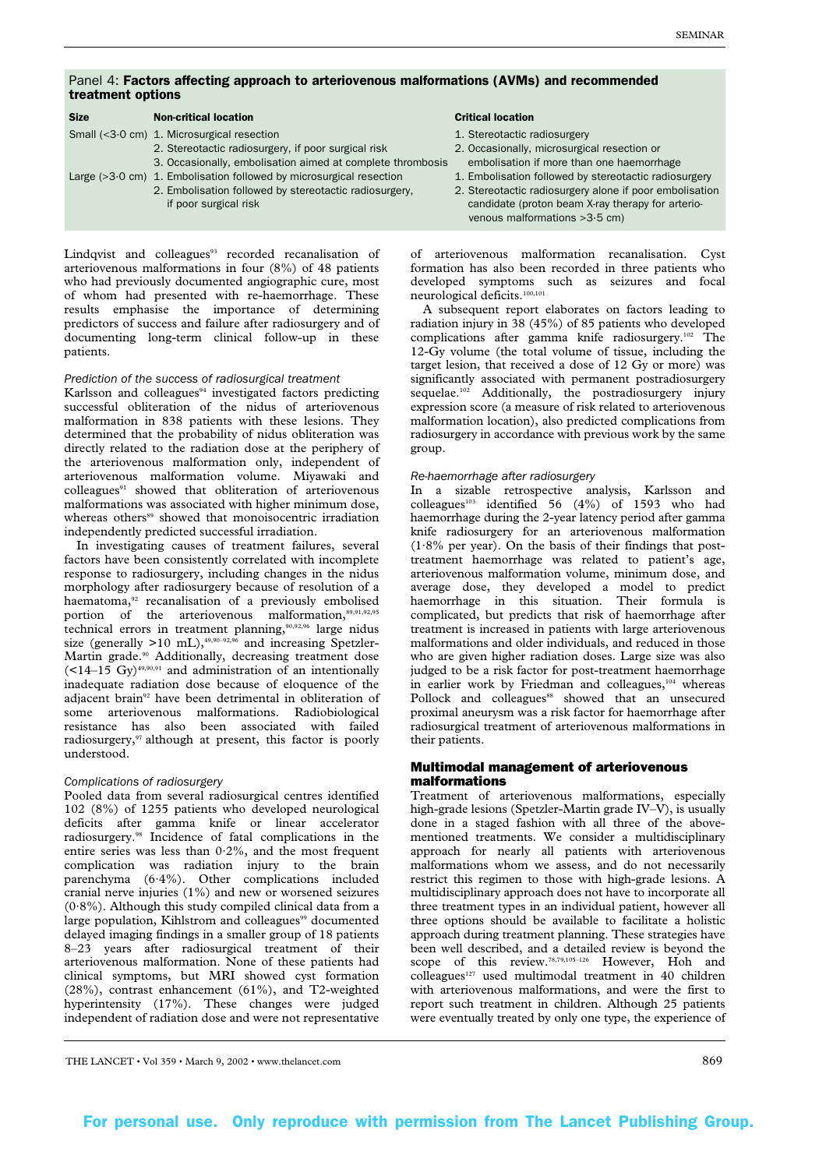### Panel 4: Factors affecting approach to arteriovenous malformations (AVMs) and recommended treatment options

### Size Non-critical location Critical location

|  | Small (<3.0 cm) 1. Microsurgical resection                                    |
|--|-------------------------------------------------------------------------------|
|  | 2. Stereotactic radiosurgery, if poor surgical risk                           |
|  | 3. Occasionally, embolisation aimed at complete throed                        |
|  | Large $(>3.0 \text{ cm})$ 1. Embolisation followed by microsurgical resection |
|  | 2. Embolisation followed by stereotactic radiosurgery.                        |

if poor surgical risk candidate (proton beam X-ray therapy for arterio-

Lindqvist and colleagues<sup>93</sup> recorded recanalisation of arteriovenous malformations in four (8%) of 48 patients who had previously documented angiographic cure, most of whom had presented with re-haemorrhage. These results emphasise the importance of determining predictors of success and failure after radiosurgery and of documenting long-term clinical follow-up in these patients.

### *Prediction of the success of radiosurgical treatment*

Karlsson and colleagues $94$  investigated factors predicting successful obliteration of the nidus of arteriovenous malformation in 838 patients with these lesions. They determined that the probability of nidus obliteration was directly related to the radiation dose at the periphery of the arteriovenous malformation only, independent of arteriovenous malformation volume. Miyawaki and colleagues<sup>91</sup> showed that obliteration of arteriovenous malformations was associated with higher minimum dose, whereas others<sup>89</sup> showed that monoisocentric irradiation independently predicted successful irradiation.

In investigating causes of treatment failures, several factors have been consistently correlated with incomplete response to radiosurgery, including changes in the nidus morphology after radiosurgery because of resolution of a haematoma,<sup>92</sup> recanalisation of a previously embolised portion of the arteriovenous malformation,<sup>89,91,92,95</sup> technical errors in treatment planning,<sup>90,92,96</sup> large nidus size (generally  $>10$  mL),<sup>49,90-92,96</sup> and increasing Spetzler-Martin grade.<sup>90</sup> Additionally, decreasing treatment dose  $(<14-15$  Gy)<sup>49,90,91</sup> and administration of an intentionally inadequate radiation dose because of eloquence of the adjacent brain<sup>92</sup> have been detrimental in obliteration of some arteriovenous malformations. Radiobiological resistance has also been associated with failed radiosurgery,<sup>97</sup> although at present, this factor is poorly understood.

### *Complications of radiosurgery*

Pooled data from several radiosurgical centres identified 102 (8%) of 1255 patients who developed neurological deficits after gamma knife or linear accelerator radiosurgery.98 Incidence of fatal complications in the entire series was less than 0·2%, and the most frequent complication was radiation injury to the brain parenchyma (6·4%). Other complications included cranial nerve injuries (1%) and new or worsened seizures  $(0.8\%)$ . Although this study compiled clinical data from a large population, Kihlstrom and colleagues<sup>99</sup> documented delayed imaging findings in a smaller group of 18 patients 8–23 years after radiosurgical treatment of their arteriovenous malformation. None of these patients had clinical symptoms, but MRI showed cyst formation (28%), contrast enhancement (61%), and T2-weighted hyperintensity (17%). These changes were judged independent of radiation dose and were not representative

- 1. Stereotactic radiosurgery
- 2. Occasionally, microsurgical resection or
- mbosis embolisation if more than one haemorrhage
	- 1. Embolisation followed by stereotactic radiosurgery
	- 2. Stereotactic radiosurgery alone if poor embolisation venous malformations >3·5 cm)

of arteriovenous malformation recanalisation. Cyst formation has also been recorded in three patients who developed symptoms such as seizures and focal neurological deficits.100,101

A subsequent report elaborates on factors leading to radiation injury in 38 (45%) of 85 patients who developed complications after gamma knife radiosurgery.102 The 12-Gy volume (the total volume of tissue, including the target lesion, that received a dose of 12 Gy or more) was significantly associated with permanent postradiosurgery sequelae.<sup>102</sup> Additionally, the postradiosurgery injury expression score (a measure of risk related to arteriovenous malformation location), also predicted complications from radiosurgery in accordance with previous work by the same group.

### *Re-haemorrhage after radiosurgery*

In a sizable retrospective analysis, Karlsson and colleagues<sup>103</sup> identified 56  $(4%)$  of 1593 who had haemorrhage during the 2-year latency period after gamma knife radiosurgery for an arteriovenous malformation  $(1.8\%$  per year). On the basis of their findings that posttreatment haemorrhage was related to patient's age, arteriovenous malformation volume, minimum dose, and average dose, they developed a model to predict haemorrhage in this situation. Their formula is complicated, but predicts that risk of haemorrhage after treatment is increased in patients with large arteriovenous malformations and older individuals, and reduced in those who are given higher radiation doses. Large size was also judged to be a risk factor for post-treatment haemorrhage in earlier work by Friedman and colleagues,<sup>104</sup> whereas Pollock and colleagues<sup>88</sup> showed that an unsecured proximal aneurysm was a risk factor for haemorrhage after radiosurgical treatment of arteriovenous malformations in their patients.

### Multimodal management of arteriovenous malformations

Treatment of arteriovenous malformations, especially high-grade lesions (Spetzler-Martin grade IV–V), is usually done in a staged fashion with all three of the abovementioned treatments. We consider a multidisciplinary approach for nearly all patients with arteriovenous malformations whom we assess, and do not necessarily restrict this regimen to those with high-grade lesions. A multidisciplinary approach does not have to incorporate all three treatment types in an individual patient, however all three options should be available to facilitate a holistic approach during treatment planning. These strategies have been well described, and a detailed review is beyond the scope of this review.<sup>78,79,105-126</sup> However, Hoh and colleagues<sup>127</sup> used multimodal treatment in 40 children with arteriovenous malformations, and were the first to report such treatment in children. Although 25 patients were eventually treated by only one type, the experience of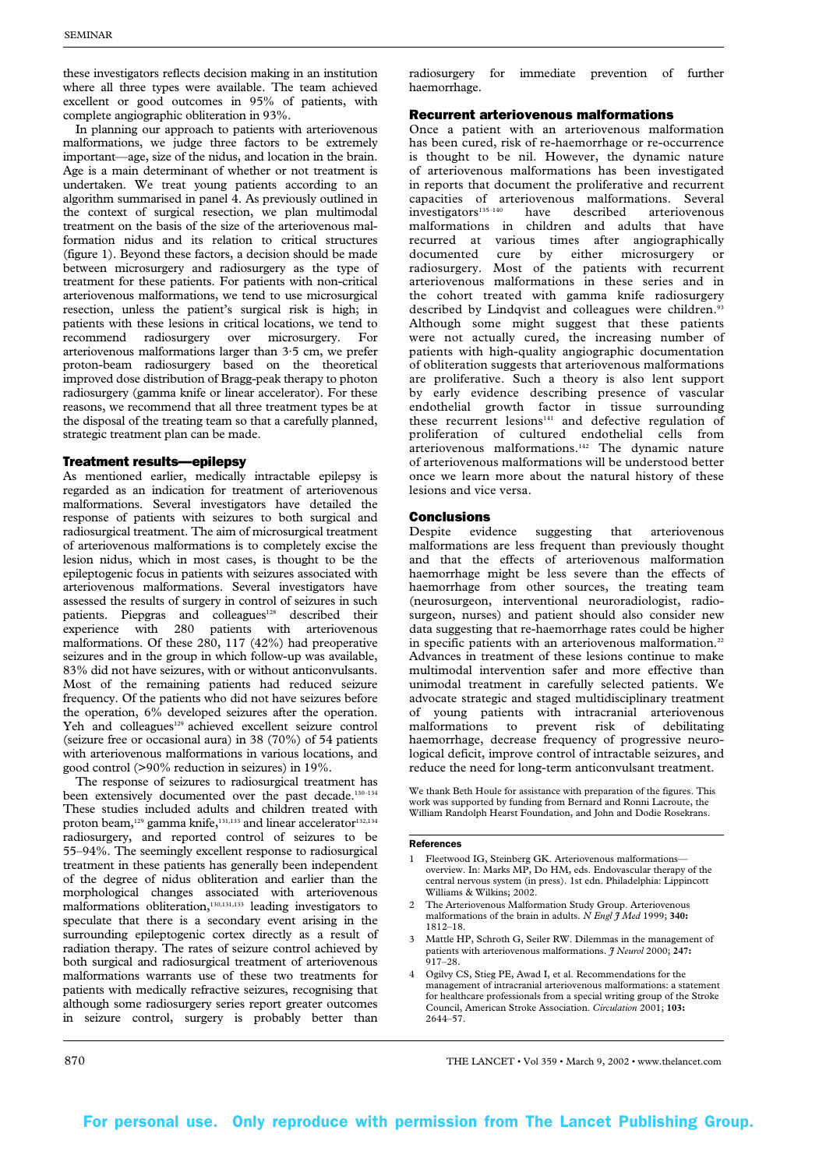these investigators reflects decision making in an institution where all three types were available. The team achieved excellent or good outcomes in 95% of patients, with complete angiographic obliteration in 93%.

In planning our approach to patients with arteriovenous malformations, we judge three factors to be extremely important—age, size of the nidus, and location in the brain. Age is a main determinant of whether or not treatment is undertaken. We treat young patients according to an algorithm summarised in panel 4. As previously outlined in the context of surgical resection, we plan multimodal treatment on the basis of the size of the arteriovenous malformation nidus and its relation to critical structures (figure 1). Beyond these factors, a decision should be made between microsurgery and radiosurgery as the type of treatment for these patients. For patients with non-critical arteriovenous malformations, we tend to use microsurgical resection, unless the patient's surgical risk is high; in patients with these lesions in critical locations, we tend to recommend radiosurgery over microsurgery. For arteriovenous malformations larger than 3·5 cm, we prefer proton-beam radiosurgery based on the theoretical improved dose distribution of Bragg-peak therapy to photon radiosurgery (gamma knife or linear accelerator). For these reasons, we recommend that all three treatment types be at the disposal of the treating team so that a carefully planned, strategic treatment plan can be made.

### Treatment results—epilepsy

As mentioned earlier, medically intractable epilepsy is regarded as an indication for treatment of arteriovenous malformations. Several investigators have detailed the response of patients with seizures to both surgical and radiosurgical treatment. The aim of microsurgical treatment of arteriovenous malformations is to completely excise the lesion nidus, which in most cases, is thought to be the epileptogenic focus in patients with seizures associated with arteriovenous malformations. Several investigators have assessed the results of surgery in control of seizures in such patients. Piepgras and colleagues<sup>128</sup> described their experience with 280 patients with arteriovenous malformations. Of these 280, 117 (42%) had preoperative seizures and in the group in which follow-up was available, 83% did not have seizures, with or without anticonvulsants. Most of the remaining patients had reduced seizure frequency. Of the patients who did not have seizures before the operation, 6% developed seizures after the operation. Yeh and colleagues<sup>129</sup> achieved excellent seizure control (seizure free or occasional aura) in 38 (70%) of 54 patients with arteriovenous malformations in various locations, and good control (>90% reduction in seizures) in 19%.

The response of seizures to radiosurgical treatment has been extensively documented over the past decade.<sup>130-134</sup> These studies included adults and children treated with proton beam,<sup>129</sup> gamma knife,<sup>131,133</sup> and linear accelerator<sup>132,134</sup> radiosurgery, and reported control of seizures to be 55–94%. The seemingly excellent response to radiosurgical treatment in these patients has generally been independent of the degree of nidus obliteration and earlier than the morphological changes associated with arteriovenous malformations obliteration,130,131,133 leading investigators to speculate that there is a secondary event arising in the surrounding epileptogenic cortex directly as a result of radiation therapy. The rates of seizure control achieved by both surgical and radiosurgical treatment of arteriovenous malformations warrants use of these two treatments for patients with medically refractive seizures, recognising that although some radiosurgery series report greater outcomes in seizure control, surgery is probably better than

radiosurgery for immediate prevention of further haemorrhage.

### Recurrent arteriovenous malformations

Once a patient with an arteriovenous malformation has been cured, risk of re-haemorrhage or re-occurrence is thought to be nil. However, the dynamic nature of arteriovenous malformations has been investigated in reports that document the proliferative and recurrent capacities of arteriovenous malformations. Several  $investigators^{135-140}$  have described arteriovenous malformations in children and adults that have recurred at various times after angiographically documented cure by either microsurgery or radiosurgery. Most of the patients with recurrent arteriovenous malformations in these series and in the cohort treated with gamma knife radiosurgery described by Lindqvist and colleagues were children.<sup>93</sup> Although some might suggest that these patients were not actually cured, the increasing number of patients with high-quality angiographic documentation of obliteration suggests that arteriovenous malformations are proliferative. Such a theory is also lent support by early evidence describing presence of vascular endothelial growth factor in tissue surrounding these recurrent lesions<sup>141</sup> and defective regulation of proliferation of cultured endothelial cells from arteriovenous malformations.<sup>142</sup> The dynamic nature of arteriovenous malformations will be understood better once we learn more about the natural history of these lesions and vice versa.

### Conclusions

Despite evidence suggesting that arteriovenous malformations are less frequent than previously thought and that the effects of arteriovenous malformation haemorrhage might be less severe than the effects of haemorrhage from other sources, the treating team (neurosurgeon, interventional neuroradiologist, radiosurgeon, nurses) and patient should also consider new data suggesting that re-haemorrhage rates could be higher in specific patients with an arteriovenous malformation.<sup>22</sup> Advances in treatment of these lesions continue to make multimodal intervention safer and more effective than unimodal treatment in carefully selected patients. We advocate strategic and staged multidisciplinary treatment of young patients with intracranial arteriovenous malformations to prevent risk of debilitating haemorrhage, decrease frequency of progressive neurological deficit, improve control of intractable seizures, and reduce the need for long-term anticonvulsant treatment.

We thank Beth Houle for assistance with preparation of the figures. This work was supported by funding from Bernard and Ronni Lacroute, the William Randolph Hearst Foundation, and John and Dodie Rosekrans.

### References

- 1 Fleetwood IG, Steinberg GK. Arteriovenous malformations overview. In: Marks MP, Do HM, eds. Endovascular therapy of the central nervous system (in press). 1st edn. Philadelphia: Lippincott Williams & Wilkins; 2002.
- The Arteriovenous Malformation Study Group. Arteriovenous malformations of the brain in adults. *N Engl J Med* 1999; **340:** 1812–18.
- 3 Mattle HP, Schroth G, Seiler RW. Dilemmas in the management of patients with arteriovenous malformations. *J Neurol* 2000; **247:**  $917 - 28$ .
- Ogilvy CS, Stieg PE, Awad I, et al. Recommendations for the management of intracranial arteriovenous malformations: a statement for healthcare professionals from a special writing group of the Stroke Council, American Stroke Association. *Circulation* 2001; **103:** 2644–57.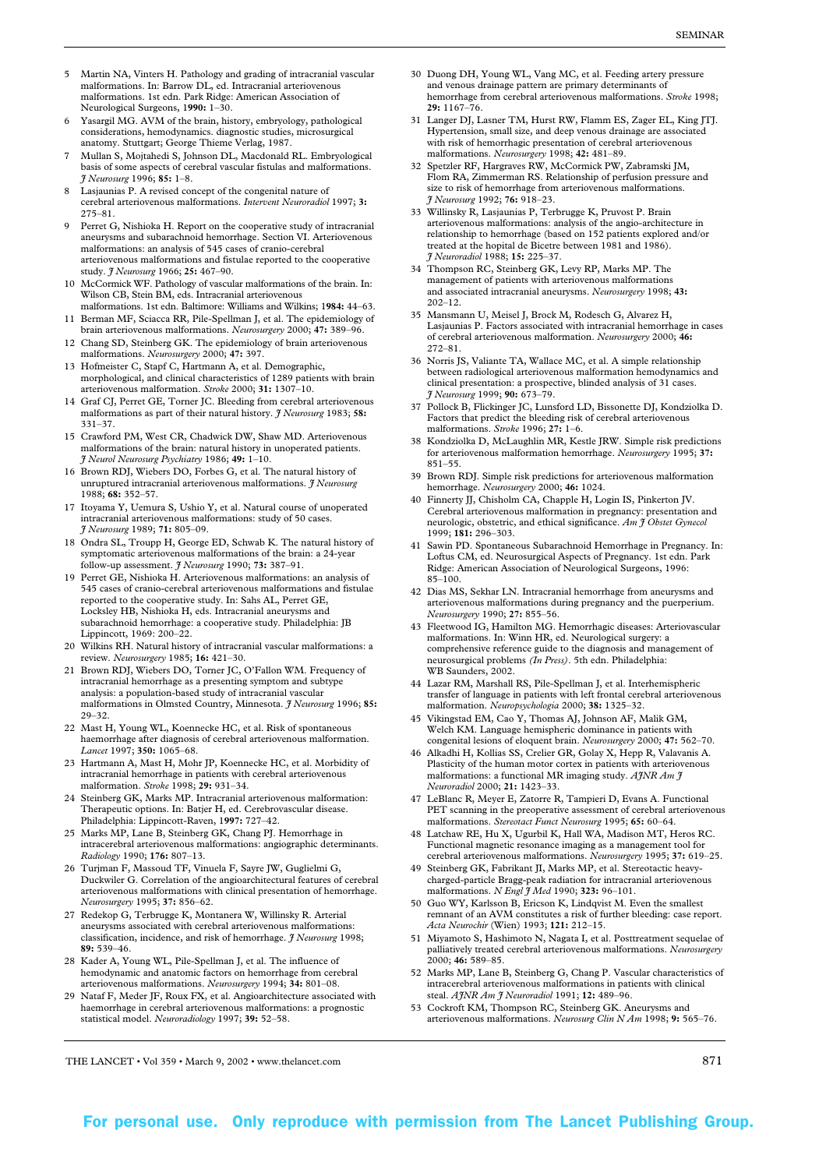- 5 Martin NA, Vinters H. Pathology and grading of intracranial vascular malformations. In: Barrow DL, ed. Intracranial arteriovenous malformations. 1st edn. Park Ridge: American Association of Neurological Surgeons, 1**990:** 1–30.
- Yasargil MG. AVM of the brain, history, embryology, pathological considerations, hemodynamics. diagnostic studies, microsurgical anatomy. Stuttgart; George Thieme Verlag, 1987.
- 7 Mullan S, Mojtahedi S, Johnson DL, Macdonald RL. Embryological basis of some aspects of cerebral vascular fistulas and malformations. *J Neurosurg* 1996; **85:** 1–8.
- Lasjaunias P. A revised concept of the congenital nature of cerebral arteriovenous malformations. *Intervent Neuroradiol* 1997; **3:** 275–81.
- Perret G, Nishioka H. Report on the cooperative study of intracranial aneurysms and subarachnoid hemorrhage. Section VI. Arteriovenous malformations: an analysis of 545 cases of cranio-cerebral arteriovenous malformations and fistulae reported to the cooperative study. *J Neurosurg* 1966; **25:** 467–90.
- 10 McCormick WF. Pathology of vascular malformations of the brain. In: Wilson CB, Stein BM, eds. Intracranial arteriovenous malformations. 1st edn. Baltimore: Williams and Wilkins; 1**984:** 44–63.
- 11 Berman MF, Sciacca RR, Pile-Spellman J, et al. The epidemiology of brain arteriovenous malformations. *Neurosurgery* 2000; **47:** 389–96.
- 12 Chang SD, Steinberg GK. The epidemiology of brain arteriovenous malformations. *Neurosurgery* 2000; **47:** 397.
- 13 Hofmeister C, Stapf C, Hartmann A, et al. Demographic, morphological, and clinical characteristics of 1289 patients with brain arteriovenous malformation. *Stroke* 2000; **31:** 1307–10.
- 14 Graf CJ, Perret GE, Torner JC. Bleeding from cerebral arteriovenous malformations as part of their natural history. *J Neurosurg* 1983; **58:** 331–37.
- 15 Crawford PM, West CR, Chadwick DW, Shaw MD. Arteriovenous malformations of the brain: natural history in unoperated patients. *J Neurol Neurosurg Psychiatry* 1986; **49:** 1–10.
- 16 Brown RDJ, Wiebers DO, Forbes G, et al. The natural history of unruptured intracranial arteriovenous malformations. *J Neurosurg* 1988; **68:** 352–57.
- 17 Itoyama Y, Uemura S, Ushio Y, et al. Natural course of unoperated intracranial arteriovenous malformations: study of 50 cases. *J Neurosurg* 1989; **71:** 805–09.
- 18 Ondra SL, Troupp H, George ED, Schwab K. The natural history of symptomatic arteriovenous malformations of the brain: a 24-year follow-up assessment. *J Neurosurg* 1990; **73:** 387–91.
- 19 Perret GE, Nishioka H. Arteriovenous malformations: an analysis of 545 cases of cranio-cerebral arteriovenous malformations and fistulae reported to the cooperative study. In: Sahs AL, Perret GE, Locksley HB, Nishioka H, eds. Intracranial aneurysms and subarachnoid hemorrhage: a cooperative study. Philadelphia: JB Lippincott, 1969: 200–22.
- 20 Wilkins RH. Natural history of intracranial vascular malformations: a review. *Neurosurgery* 1985; **16:** 421–30.
- 21 Brown RDJ, Wiebers DO, Torner JC, O'Fallon WM. Frequency of intracranial hemorrhage as a presenting symptom and subtype analysis: a population-based study of intracranial vascular malformations in Olmsted Country, Minnesota. *J Neurosurg* 1996; **85:**  $20 - 32$
- 22 Mast H, Young WL, Koennecke HC, et al. Risk of spontaneous haemorrhage after diagnosis of cerebral arteriovenous malformation. *Lancet* 1997; **350:** 1065–68.
- 23 Hartmann A, Mast H, Mohr JP, Koennecke HC, et al. Morbidity of intracranial hemorrhage in patients with cerebral arteriovenous malformation. *Stroke* 1998; **29:** 931–34.
- 24 Steinberg GK, Marks MP. Intracranial arteriovenous malformation: Therapeutic options. In: Batjer H, ed. Cerebrovascular disease. Philadelphia: Lippincott-Raven, 1**997:** 727–42.
- 25 Marks MP, Lane B, Steinberg GK, Chang PJ. Hemorrhage in intracerebral arteriovenous malformations: angiographic determinants. *Radiology* 1990; **176:** 807–13.
- 26 Turjman F, Massoud TF, Vinuela F, Sayre JW, Guglielmi G, Duckwiler G. Correlation of the angioarchitectural features of cerebral arteriovenous malformations with clinical presentation of hemorrhage. *Neurosurgery* 1995; **37:** 856–62.
- 27 Redekop G, Terbrugge K, Montanera W, Willinsky R. Arterial aneurysms associated with cerebral arteriovenous malformations: classification, incidence, and risk of hemorrhage. *J Neurosurg* 1998; **89:** 539–46.
- 28 Kader A, Young WL, Pile-Spellman J, et al. The influence of hemodynamic and anatomic factors on hemorrhage from cerebral arteriovenous malformations. *Neurosurgery* 1994; **34:** 801–08.
- 29 Nataf F, Meder JF, Roux FX, et al. Angioarchitecture associated with haemorrhage in cerebral arteriovenous malformations: a prognostic statistical model. *Neuroradiology* 1997; **39:** 52–58.
- 30 Duong DH, Young WL, Vang MC, et al. Feeding artery pressure and venous drainage pattern are primary determinants of hemorrhage from cerebral arteriovenous malformations. *Stroke* 1998; **29:** 1167–76.
- 31 Langer DJ, Lasner TM, Hurst RW, Flamm ES, Zager EL, King JTJ. Hypertension, small size, and deep venous drainage are associated with risk of hemorrhagic presentation of cerebral arteriovenous malformations. *Neurosurgery* 1998; **42:** 481–89.
- 32 Spetzler RF, Hargraves RW, McCormick PW, Zabramski JM, Flom RA, Zimmerman RS. Relationship of perfusion pressure and size to risk of hemorrhage from arteriovenous malformations. *J Neurosurg* 1992; **76:** 918–23.
- 33 Willinsky R, Lasjaunias P, Terbrugge K, Pruvost P. Brain arteriovenous malformations: analysis of the angio-architecture in relationship to hemorrhage (based on 152 patients explored and/or treated at the hopital de Bicetre between 1981 and 1986). *J Neuroradiol* 1988; **15:** 225–37.
- 34 Thompson RC, Steinberg GK, Levy RP, Marks MP. The management of patients with arteriovenous malformations and associated intracranial aneurysms. *Neurosurgery* 1998; **43:** 202–12.
- 35 Mansmann U, Meisel J, Brock M, Rodesch G, Alvarez H, Lasjaunias P. Factors associated with intracranial hemorrhage in cases of cerebral arteriovenous malformation. *Neurosurgery* 2000; **46:** 272–81.
- 36 Norris JS, Valiante TA, Wallace MC, et al. A simple relationship between radiological arteriovenous malformation hemodynamics and clinical presentation: a prospective, blinded analysis of 31 cases. *J Neurosurg* 1999; **90:** 673–79.
- 37 Pollock B, Flickinger JC, Lunsford LD, Bissonette DJ, Kondziolka D. Factors that predict the bleeding risk of cerebral arteriovenous malformations. *Stroke* 1996; **27:** 1–6.
- 38 Kondziolka D, McLaughlin MR, Kestle JRW. Simple risk predictions for arteriovenous malformation hemorrhage. *Neurosurgery* 1995; **37:** 851–55.
- 39 Brown RDJ. Simple risk predictions for arteriovenous malformation hemorrhage. *Neurosurgery* 2000; **46:** 1024.
- 40 Finnerty JJ, Chisholm CA, Chapple H, Login IS, Pinkerton JV. Cerebral arteriovenous malformation in pregnancy: presentation and neurologic, obstetric, and ethical significance. *Am J Obstet Gynecol* 1999; **181:** 296–303.
- 41 Sawin PD. Spontaneous Subarachnoid Hemorrhage in Pregnancy. In: Loftus CM, ed. Neurosurgical Aspects of Pregnancy. 1st edn. Park Ridge: American Association of Neurological Surgeons, 1996: 85–100.
- 42 Dias MS, Sekhar LN. Intracranial hemorrhage from aneurysms and arteriovenous malformations during pregnancy and the puerperium. *Neurosurgery* 1990; **27:** 855–56.
- 43 Fleetwood IG, Hamilton MG. Hemorrhagic diseases: Arteriovascular malformations. In: Winn HR, ed. Neurological surgery: a comprehensive reference guide to the diagnosis and management of neurosurgical problems *(In Press)*. 5th edn. Philadelphia: WB Saunders, 2002.
- 44 Lazar RM, Marshall RS, Pile-Spellman J, et al. Interhemispheric transfer of language in patients with left frontal cerebral arteriovenous malformation. *Neuropsychologia* 2000; **38:** 1325–32.
- 45 Vikingstad EM, Cao Y, Thomas AJ, Johnson AF, Malik GM, Welch KM. Language hemispheric dominance in patients with congenital lesions of eloquent brain. *Neurosurgery* 2000; **47:** 562–70.
- 46 Alkadhi H, Kollias SS, Crelier GR, Golay X, Hepp R, Valavanis A. Plasticity of the human motor cortex in patients with arteriovenous malformations: a functional MR imaging study. *AJNR Am J Neuroradiol* 2000; **21:** 1423–33.
- 47 LeBlanc R, Meyer E, Zatorre R, Tampieri D, Evans A. Functional PET scanning in the preoperative assessment of cerebral arteriovenous malformations. *Stereotact Funct Neurosurg* 1995; **65:** 60–64.
- Latchaw RE, Hu X, Ugurbil K, Hall WA, Madison MT, Heros RC. Functional magnetic resonance imaging as a management tool for cerebral arteriovenous malformations. *Neurosurgery* 1995; **37:** 619–25.
- 49 Steinberg GK, Fabrikant JI, Marks MP, et al. Stereotactic heavycharged-particle Bragg-peak radiation for intracranial arteriovenous malformations. *N Engl J Med* 1990; **323:** 96–101.
- 50 Guo WY, Karlsson B, Ericson K, Lindqvist M. Even the smallest remnant of an AVM constitutes a risk of further bleeding: case report. *Acta Neurochir* (Wien) 1993; **121:** 212–15.
- 51 Miyamoto S, Hashimoto N, Nagata I, et al. Posttreatment sequelae of palliatively treated cerebral arteriovenous malformations. *Neurosurgery* 2000; **46:** 589–85.
- 52 Marks MP, Lane B, Steinberg G, Chang P. Vascular characteristics of intracerebral arteriovenous malformations in patients with clinical steal. *AJNR Am J Neuroradiol* 1991; **12:** 489–96.
- 53 Cockroft KM, Thompson RC, Steinberg GK. Aneurysms and arteriovenous malformations. *Neurosurg Clin N Am* 1998; **9:** 565–76.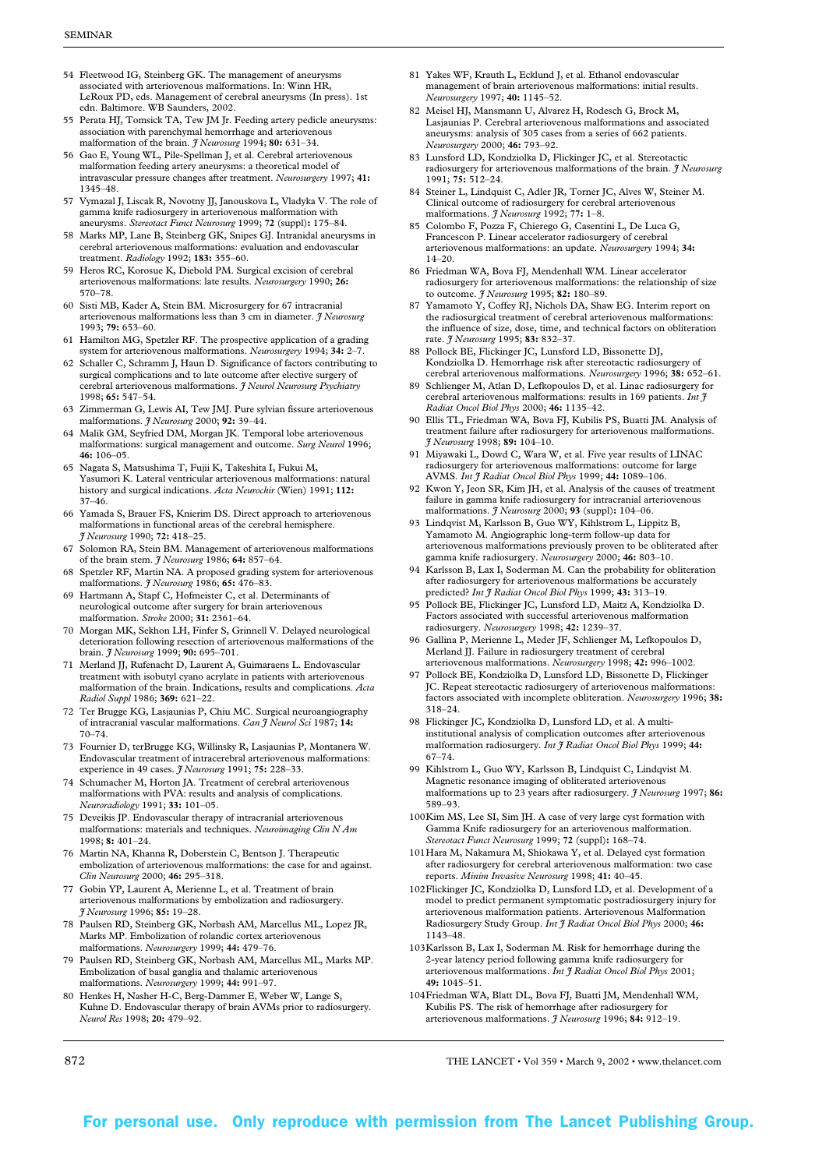- 54 Fleetwood IG, Steinberg GK. The management of aneurysms associated with arteriovenous malformations. In: Winn HR, LeRoux PD, eds. Management of cerebral aneurysms (In press). 1st edn. Baltimore. WB Saunders, 2002.
- 55 Perata HJ, Tomsick TA, Tew JM Jr. Feeding artery pedicle aneurysms: association with parenchymal hemorrhage and arteriovenous malformation of the brain. *J Neurosurg* 1994; **80:** 631–34.
- 56 Gao E, Young WL, Pile-Spellman J, et al. Cerebral arteriovenous malformation feeding artery aneurysms: a theoretical model of intravascular pressure changes after treatment. *Neurosurgery* 1997; **41:** 1345–48.
- 57 Vymazal J, Liscak R, Novotny JJ, Janouskova L, Vladyka V. The role of gamma knife radiosurgery in arteriovenous malformation with aneurysms. *Stereotact Funct Neurosurg* 1999; **72** (suppl)**:** 175–84.
- 58 Marks MP, Lane B, Steinberg GK, Snipes GJ. Intranidal aneurysms in cerebral arteriovenous malformations: evaluation and endovascular treatment. *Radiology* 1992; **183:** 355–60.
- 59 Heros RC, Korosue K, Diebold PM. Surgical excision of cerebral arteriovenous malformations: late results. *Neurosurgery* 1990; **26:** 570–78.
- 60 Sisti MB, Kader A, Stein BM. Microsurgery for 67 intracranial arteriovenous malformations less than 3 cm in diameter. *J Neurosurg* 1993; **79:** 653–60.
- 61 Hamilton MG, Spetzler RF. The prospective application of a grading system for arteriovenous malformations. *Neurosurgery* 1994; **34:** 2–7.
- 62 Schaller C, Schramm J, Haun D. Significance of factors contributing to surgical complications and to late outcome after elective surgery of cerebral arteriovenous malformations. *J Neurol Neurosurg Psychiatry* 1998; **65:** 547–54.
- 63 Zimmerman G, Lewis AI, Tew JMJ. Pure sylvian fissure arteriovenous malformations. *J Neurosurg* 2000; **92:** 39–44.
- 64 Malik GM, Seyfried DM, Morgan JK. Temporal lobe arteriovenous malformations: surgical management and outcome. *Surg Neurol* 1996; **46:** 106–05.
- 65 Nagata S, Matsushima T, Fujii K, Takeshita I, Fukui M, Yasumori K. Lateral ventricular arteriovenous malformations: natural history and surgical indications. *Acta Neurochir* (Wien) 1991; **112:** 37–46.
- 66 Yamada S, Brauer FS, Knierim DS. Direct approach to arteriovenous malformations in functional areas of the cerebral hemisphere. *J Neurosurg* 1990; **72:** 418–25.
- 67 Solomon RA, Stein BM. Management of arteriovenous malformations of the brain stem. *J Neurosurg* 1986; **64:** 857–64.
- Spetzler RF, Martin NA. A proposed grading system for arteriovenous malformations. *J Neurosurg* 1986; **65:** 476–83.
- Hartmann A, Stapf C, Hofmeister C, et al. Determinants of neurological outcome after surgery for brain arteriovenous malformation. *Stroke* 2000; **31:** 2361–64.
- Morgan MK, Sekhon LH, Finfer S, Grinnell V. Delayed neurological deterioration following resection of arteriovenous malformations of the brain. *J Neurosurg* 1999; **90:** 695–701.
- 71 Merland JJ, Rufenacht D, Laurent A, Guimaraens L. Endovascular treatment with isobutyl cyano acrylate in patients with arteriovenous malformation of the brain. Indications, results and complications. *Acta Radiol Suppl* 1986; **369:** 621–22.
- 72 Ter Brugge KG, Lasjaunias P, Chiu MC. Surgical neuroangiography of intracranial vascular malformations. *Can J Neurol Sci* 1987; **14:** 70–74.
- 73 Fournier D, terBrugge KG, Willinsky R, Lasjaunias P, Montanera W. Endovascular treatment of intracerebral arteriovenous malformations: experience in 49 cases. *J Neurosurg* 1991; **75:** 228–33.
- 74 Schumacher M, Horton JA. Treatment of cerebral arteriovenous malformations with PVA: results and analysis of complications. *Neuroradiology* 1991; **33:** 101–05.
- Deveikis JP. Endovascular therapy of intracranial arteriovenous malformations: materials and techniques. *Neuroimaging Clin N Am* 1998; **8:** 401–24.
- 76 Martin NA, Khanna R, Doberstein C, Bentson J. Therapeutic embolization of arteriovenous malformations: the case for and against. *Clin Neurosurg* 2000; **46:** 295–318.
- 77 Gobin YP, Laurent A, Merienne L, et al. Treatment of brain arteriovenous malformations by embolization and radiosurgery. *J Neurosurg* 1996; **85:** 19–28.
- 78 Paulsen RD, Steinberg GK, Norbash AM, Marcellus ML, Lopez JR, Marks MP. Embolization of rolandic cortex arteriovenous malformations. *Neurosurgery* 1999; **44:** 479–76.
- 79 Paulsen RD, Steinberg GK, Norbash AM, Marcellus ML, Marks MP. Embolization of basal ganglia and thalamic arteriovenous malformations. *Neurosurgery* 1999; **44:** 991–97.
- 80 Henkes H, Nasher H-C, Berg-Dammer E, Weber W, Lange S, Kuhne D. Endovascular therapy of brain AVMs prior to radiosurgery. *Neurol Res* 1998; **20:** 479–92.
- 81 Yakes WF, Krauth L, Ecklund J, et al. Ethanol endovascular management of brain arteriovenous malformations: initial results. *Neurosurgery* 1997; **40:** 1145–52.
- 82 Meisel HJ, Mansmann U, Alvarez H, Rodesch G, Brock M, Lasjaunias P. Cerebral arteriovenous malformations and associated aneurysms: analysis of 305 cases from a series of 662 patients. *Neurosurgery* 2000; **46:** 793–92.
- 83 Lunsford LD, Kondziolka D, Flickinger JC, et al. Stereotactic radiosurgery for arteriovenous malformations of the brain. *J Neurosurg* 1991; **75:** 512–24.
- Steiner L, Lindquist C, Adler JR, Torner JC, Alves W, Steiner M. Clinical outcome of radiosurgery for cerebral arteriovenous malformations. *J Neurosurg* 1992; **77:** 1–8.
- 85 Colombo F, Pozza F, Chierego G, Casentini L, De Luca G, Francescon P. Linear accelerator radiosurgery of cerebral arteriovenous malformations: an update. *Neurosurgery* 1994; **34:**  $14 - 20$
- 86 Friedman WA, Bova FJ, Mendenhall WM. Linear accelerator radiosurgery for arteriovenous malformations: the relationship of size to outcome. *J Neurosurg* 1995; **82:** 180–89.
- Yamamoto Y, Coffey RJ, Nichols DA, Shaw EG. Interim report on the radiosurgical treatment of cerebral arteriovenous malformations: the influence of size, dose, time, and technical factors on obliteration rate. *J Neurosurg* 1995; **83:** 832–37.
- 88 Pollock BE, Flickinger JC, Lunsford LD, Bissonette DJ, Kondziolka D. Hemorrhage risk after stereotactic radiosurgery of cerebral arteriovenous malformations. *Neurosurgery* 1996; **38:** 652–61.
- Schlienger M, Atlan D, Lefkopoulos D, et al. Linac radiosurgery for cerebral arteriovenous malformations: results in 169 patients. *Int J Radiat Oncol Biol Phys* 2000; **46:** 1135–42.
- 90 Ellis TL, Friedman WA, Bova FJ, Kubilis PS, Buatti JM. Analysis of treatment failure after radiosurgery for arteriovenous malformations. *J Neurosurg* 1998; **89:** 104–10.
- 91 Miyawaki L, Dowd C, Wara W, et al. Five year results of LINAC radiosurgery for arteriovenous malformations: outcome for large AVMS. *Int J Radiat Oncol Biol Phys* 1999; **44:** 1089–106.
- 92 Kwon Y, Jeon SR, Kim JH, et al. Analysis of the causes of treatment failure in gamma knife radiosurgery for intracranial arteriovenous malformations. *J Neurosurg* 2000; **93** (suppl)**:** 104–06.
- 93 Lindqvist M, Karlsson B, Guo WY, Kihlstrom L, Lippitz B, Yamamoto M. Angiographic long-term follow-up data for arteriovenous malformations previously proven to be obliterated after gamma knife radiosurgery. *Neurosurgery* 2000; **46:** 803–10.
- 94 Karlsson B, Lax I, Soderman M. Can the probability for obliteration after radiosurgery for arteriovenous malformations be accurately predicted? *Int J Radiat Oncol Biol Phys* 1999; **43:** 313–19.
- 95 Pollock BE, Flickinger JC, Lunsford LD, Maitz A, Kondziolka D. Factors associated with successful arteriovenous malformation radiosurgery. *Neurosurgery* 1998; **42:** 1239–37.
- 96 Gallina P, Merienne L, Meder JF, Schlienger M, Lefkopoulos D, Merland JJ. Failure in radiosurgery treatment of cerebral arteriovenous malformations. *Neurosurgery* 1998; **42:** 996–1002.
- 97 Pollock BE, Kondziolka D, Lunsford LD, Bissonette D, Flickinger JC. Repeat stereotactic radiosurgery of arteriovenous malformations: factors associated with incomplete obliteration. *Neurosurgery* 1996; **38:** 318–24.
- 98 Flickinger JC, Kondziolka D, Lunsford LD, et al. A multiinstitutional analysis of complication outcomes after arteriovenous malformation radiosurgery. *Int J Radiat Oncol Biol Phys* 1999; **44:** 67–74.
- 99 Kihlstrom L, Guo WY, Karlsson B, Lindquist C, Lindqvist M. Magnetic resonance imaging of obliterated arteriovenous malformations up to 23 years after radiosurgery. *J Neurosurg* 1997; **86:** 589–93.
- 100Kim MS, Lee SI, Sim JH. A case of very large cyst formation with Gamma Knife radiosurgery for an arteriovenous malformation. *Stereotact Funct Neurosurg* 1999; **72** (suppl)**:** 168–74.
- 101Hara M, Nakamura M, Shiokawa Y, et al. Delayed cyst formation after radiosurgery for cerebral arteriovenous malformation: two case reports. *Minim Invasive Neurosurg* 1998; **41:** 40–45.
- 102Flickinger JC, Kondziolka D, Lunsford LD, et al. Development of a model to predict permanent symptomatic postradiosurgery injury for arteriovenous malformation patients. Arteriovenous Malformation Radiosurgery Study Group. *Int J Radiat Oncol Biol Phys* 2000; **46:** 1143–48.
- 103Karlsson B, Lax I, Soderman M. Risk for hemorrhage during the 2-year latency period following gamma knife radiosurgery for arteriovenous malformations. *Int J Radiat Oncol Biol Phys* 2001; **49:** 1045–51.
- 104Friedman WA, Blatt DL, Bova FJ, Buatti JM, Mendenhall WM, Kubilis PS. The risk of hemorrhage after radiosurgery for arteriovenous malformations. *J Neurosurg* 1996; **84:** 912–19.